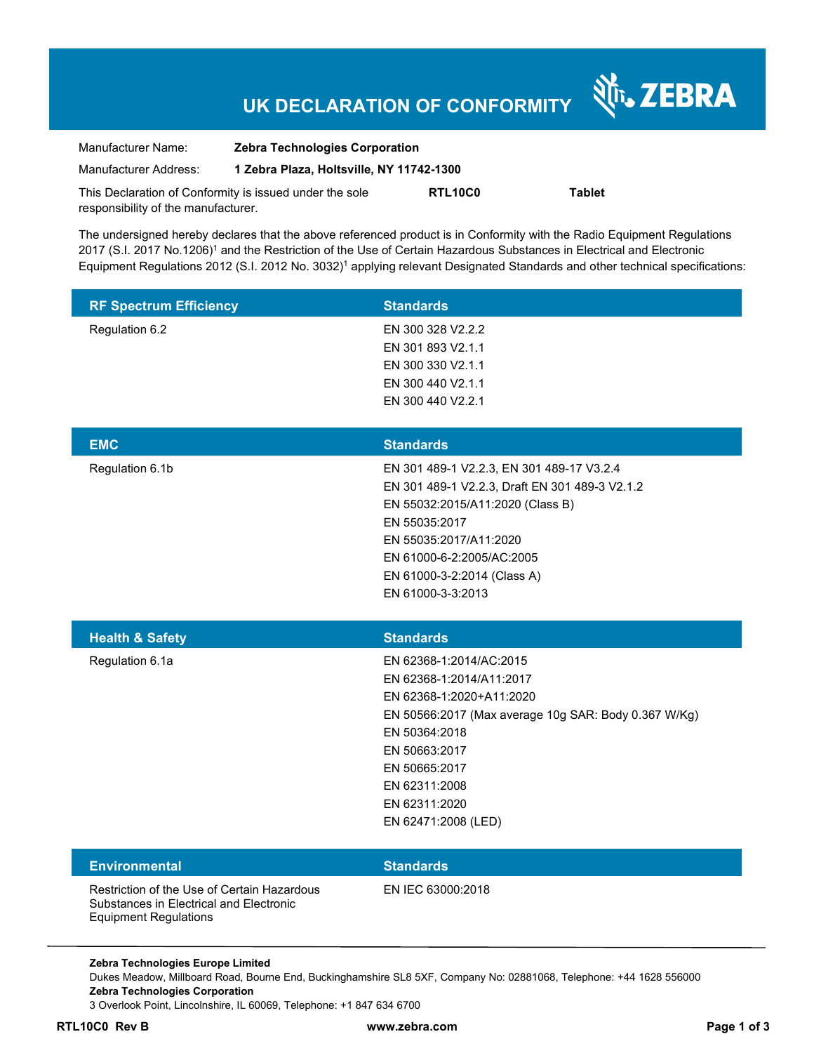# **UK DECLARATION OF CONFORMITY**

Nr. ZEBRA

| Manufacturer Name:                                      | <b>Zebra Technologies Corporation</b>    |         |               |  |
|---------------------------------------------------------|------------------------------------------|---------|---------------|--|
| Manufacturer Address:                                   | 1 Zebra Plaza, Holtsville, NY 11742-1300 |         |               |  |
| This Declaration of Conformity is issued under the sole |                                          | RTL10C0 | <b>Tablet</b> |  |
| responsibility of the manufacturer.                     |                                          |         |               |  |

The undersigned hereby declares that the above referenced product is in Conformity with the Radio Equipment Regulations 2017 (S.I. 2017 No.1206)<sup>1</sup> and the Restriction of the Use of Certain Hazardous Substances in Electrical and Electronic Equipment Regulations 2012 (S.I. 2012 No. 3032)<sup>1</sup> applying relevant Designated Standards and other technical specifications:

| <b>RF Spectrum Efficiency</b>                                                                                          | <b>Standards</b>                                                                                                                                                                                                                                            |
|------------------------------------------------------------------------------------------------------------------------|-------------------------------------------------------------------------------------------------------------------------------------------------------------------------------------------------------------------------------------------------------------|
| Regulation 6.2                                                                                                         | EN 300 328 V2.2.2<br>EN 301 893 V2.1.1<br>EN 300 330 V2.1.1<br>EN 300 440 V2.1.1<br>EN 300 440 V2.2.1                                                                                                                                                       |
| <b>EMC</b>                                                                                                             | <b>Standards</b>                                                                                                                                                                                                                                            |
| Regulation 6.1b                                                                                                        | EN 301 489-1 V2.2.3, EN 301 489-17 V3.2.4<br>EN 301 489-1 V2.2.3, Draft EN 301 489-3 V2.1.2<br>EN 55032:2015/A11:2020 (Class B)<br>EN 55035:2017<br>EN 55035:2017/A11:2020<br>EN 61000-6-2:2005/AC:2005<br>EN 61000-3-2:2014 (Class A)<br>EN 61000-3-3:2013 |
|                                                                                                                        |                                                                                                                                                                                                                                                             |
| <b>Health &amp; Safety</b>                                                                                             | <b>Standards</b>                                                                                                                                                                                                                                            |
| Regulation 6.1a                                                                                                        | EN 62368-1:2014/AC:2015<br>EN 62368-1:2014/A11:2017<br>EN 62368-1:2020+A11:2020<br>EN 50566:2017 (Max average 10g SAR: Body 0.367 W/Kg)<br>EN 50364:2018<br>EN 50663:2017<br>EN 50665:2017<br>EN 62311:2008<br>EN 62311:2020<br>EN 62471:2008 (LED)         |
| <b>Environmental</b>                                                                                                   | <b>Standards</b>                                                                                                                                                                                                                                            |
| Restriction of the Use of Certain Hazardous<br>Substances in Electrical and Electronic<br><b>Equipment Regulations</b> | EN IEC 63000:2018                                                                                                                                                                                                                                           |

Dukes Meadow, Millboard Road, Bourne End, Buckinghamshire SL8 5XF, Company No: 02881068, Telephone: +44 1628 556000 **Zebra Technologies Corporation**  3 Overlook Point, Lincolnshire, IL 60069, Telephone: +1 847 634 6700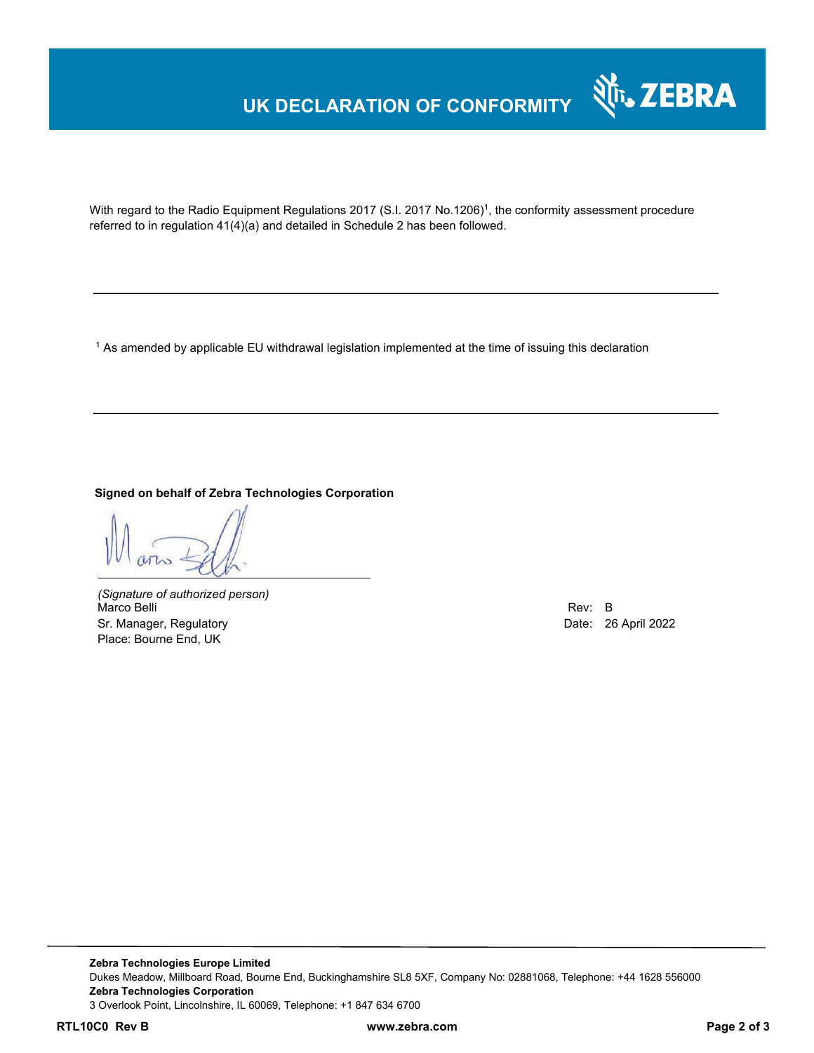### **UK DECLARATION OF CONFORMITY**



With regard to the Radio Equipment Regulations 2017 (S.I. 2017 No.1206)<sup>1</sup>, the conformity assessment procedure referred to in regulation 41(4)(a) and detailed in Schedule 2 has been followed.

 $^{\rm 1}$  As amended by applicable EU withdrawal legislation implemented at the time of issuing this declaration

**Signed on behalf of Zebra Technologies Corporation** 

*(Signature of authorized person)* Marco Belli Rev: B Sr. Manager, Regulatory **Date: 26 April 2022** Place: Bourne End, UK